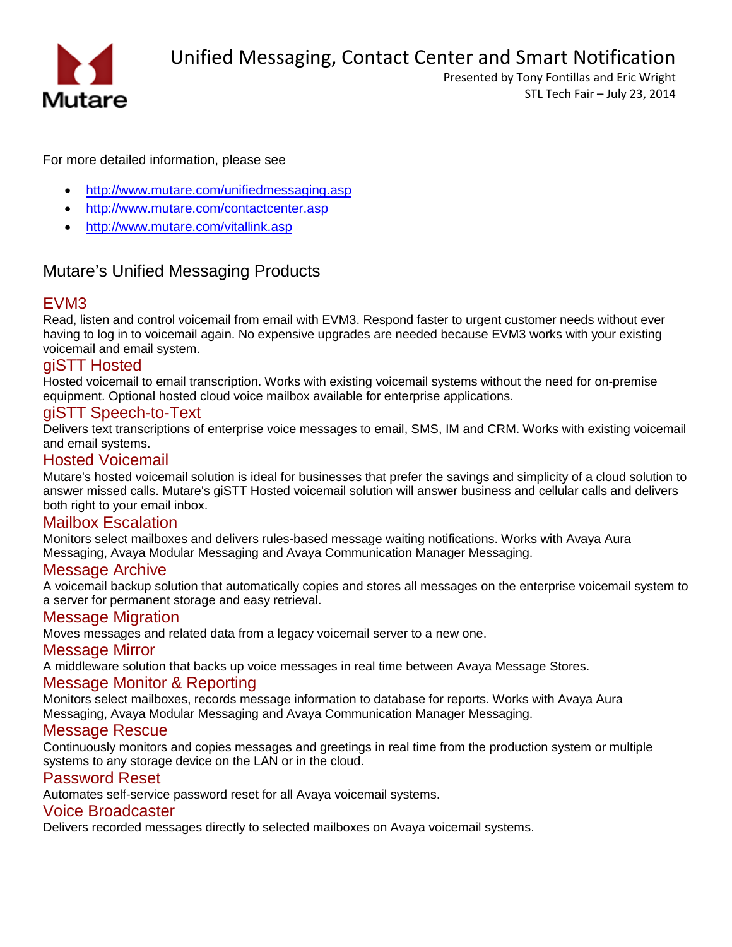

Unified Messaging, Contact Center and Smart Notification

Presented by Tony Fontillas and Eric Wright STL Tech Fair – July 23, 2014

For more detailed information, please see

- <http://www.mutare.com/unifiedmessaging.asp>
- <http://www.mutare.com/contactcenter.asp>
- <http://www.mutare.com/vitallink.asp>

## Mutare's Unified Messaging Products

## [EVM3](http://www.mutare.com/evm.asp)

Read, listen and control voicemail from email with EVM3. Respond faster to urgent customer needs without ever having to log in to voicemail again. No expensive upgrades are needed because EVM3 works with your existing voicemail and email system.

## [giSTT Hosted](http://www.mutare.com/gistthosted.asp)

Hosted voicemail to email transcription. Works with existing voicemail systems without the need for on-premise equipment. Optional hosted cloud voice mailbox available for enterprise applications.

## [giSTT Speech-to-Text](http://www.mutare.com/evmstt.asp)

Delivers text transcriptions of enterprise voice messages to email, SMS, IM and CRM. Works with existing voicemail and email systems.

## [Hosted Voicemail](http://www.mutare.com/gistthosted.asp)

Mutare's hosted voicemail solution is ideal for businesses that prefer the savings and simplicity of a cloud solution to answer missed calls. Mutare's giSTT Hosted voicemail solution will answer business and cellular calls and delivers both right to your email inbox.

## [Mailbox Escalation](http://www.mutare.com/escalation.asp)

Monitors select mailboxes and delivers rules-based message waiting notifications. Works with Avaya Aura Messaging, Avaya Modular Messaging and Avaya Communication Manager Messaging.

## [Message Archive](http://www.mutare.com/msgarchive.asp)

A voicemail backup solution that automatically copies and stores all messages on the enterprise voicemail system to a server for permanent storage and easy retrieval.

## [Message Migration](http://www.mutare.com/msgmigration.asp)

Moves messages and related data from a legacy voicemail server to a new one.

## [Message Mirror](http://www.mutare.com/msgmirror.asp)

A middleware solution that backs up voice messages in real time between Avaya Message Stores.

## [Message Monitor & Reporting](http://www.mutare.com/monitor.asp)

Monitors select mailboxes, records message information to database for reports. Works with Avaya Aura Messaging, Avaya Modular Messaging and Avaya Communication Manager Messaging.

## [Message Rescue](http://www.mutare.com/msgrescue.asp)

Continuously monitors and copies messages and greetings in real time from the production system or multiple systems to any storage device on the LAN or in the cloud.

## [Password Reset](http://www.mutare.com/pwdreset.asp)

Automates self-service password reset for all Avaya voicemail systems.

## [Voice Broadcaster](http://www.mutare.com/data/broch/Voice_Broadcaster.pdf)

Delivers recorded messages directly to selected mailboxes on Avaya voicemail systems.